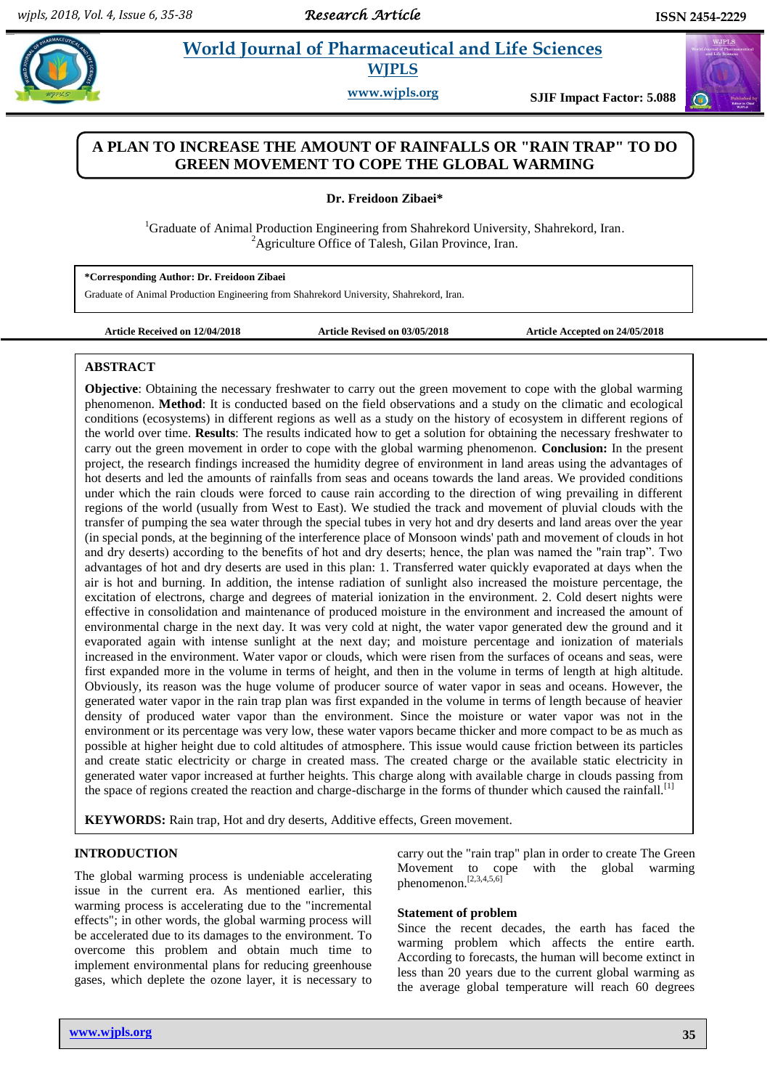$\left(\mathbf{u}\right)$ 

# **Zibary 2. 2. PostMorld Journal of Pharmaceutical and Life Sciences WJPLS**

**www.wjpls.org SJIF Impact Factor: 5.088**

# **A PLAN TO INCREASE THE AMOUNT OF RAINFALLS OR "RAIN TRAP" TO DO GREEN MOVEMENT TO COPE THE GLOBAL WARMING**

**Dr. Freidoon Zibaei\***

<sup>1</sup>Graduate of Animal Production Engineering from Shahrekord University, Shahrekord, Iran. <sup>2</sup>Agriculture Office of Talesh, Gilan Province, Iran.

**\*Corresponding Author: Dr. Freidoon Zibaei**

Graduate of Animal Production Engineering from Shahrekord University, Shahrekord, Iran.

**Article Received on 12/04/2018 Article Revised on 03/05/2018 Article Accepted on 24/05/2018**

#### **ABSTRACT**

**Objective**: Obtaining the necessary freshwater to carry out the green movement to cope with the global warming phenomenon. **Method**: It is conducted based on the field observations and a study on the climatic and ecological conditions (ecosystems) in different regions as well as a study on the history of ecosystem in different regions of the world over time. **Results**: The results indicated how to get a solution for obtaining the necessary freshwater to carry out the green movement in order to cope with the global warming phenomenon. **Conclusion:** In the present project, the research findings increased the humidity degree of environment in land areas using the advantages of hot deserts and led the amounts of rainfalls from seas and oceans towards the land areas. We provided conditions under which the rain clouds were forced to cause rain according to the direction of wing prevailing in different regions of the world (usually from West to East). We studied the track and movement of pluvial clouds with the transfer of pumping the sea water through the special tubes in very hot and dry deserts and land areas over the year (in special ponds, at the beginning of the interference place of Monsoon winds' path and movement of clouds in hot and dry deserts) according to the benefits of hot and dry deserts; hence, the plan was named the "rain trap". Two advantages of hot and dry deserts are used in this plan: 1. Transferred water quickly evaporated at days when the air is hot and burning. In addition, the intense radiation of sunlight also increased the moisture percentage, the excitation of electrons, charge and degrees of material ionization in the environment. 2. Cold desert nights were effective in consolidation and maintenance of produced moisture in the environment and increased the amount of environmental charge in the next day. It was very cold at night, the water vapor generated dew the ground and it evaporated again with intense sunlight at the next day; and moisture percentage and ionization of materials increased in the environment. Water vapor or clouds, which were risen from the surfaces of oceans and seas, were first expanded more in the volume in terms of height, and then in the volume in terms of length at high altitude. Obviously, its reason was the huge volume of producer source of water vapor in seas and oceans. However, the generated water vapor in the rain trap plan was first expanded in the volume in terms of length because of heavier density of produced water vapor than the environment. Since the moisture or water vapor was not in the environment or its percentage was very low, these water vapors became thicker and more compact to be as much as possible at higher height due to cold altitudes of atmosphere. This issue would cause friction between its particles and create static electricity or charge in created mass. The created charge or the available static electricity in generated water vapor increased at further heights. This charge along with available charge in clouds passing from the space of regions created the reaction and charge-discharge in the forms of thunder which caused the rainfall.<sup>[1]</sup>

**KEYWORDS:** Rain trap, Hot and dry deserts, Additive effects, Green movement.

#### **INTRODUCTION**

The global warming process is undeniable accelerating issue in the current era. As mentioned earlier, this warming process is accelerating due to the "incremental effects"; in other words, the global warming process will be accelerated due to its damages to the environment. To overcome this problem and obtain much time to implement environmental plans for reducing greenhouse gases, which deplete the ozone layer, it is necessary to

carry out the "rain trap" plan in order to create The Green Movement to cope with the global warming phenomenon. [2,3,4,5,6]

#### **Statement of problem**

Since the recent decades, the earth has faced the warming problem which affects the entire earth. According to forecasts, the human will become extinct in less than 20 years due to the current global warming as the average global temperature will reach 60 degrees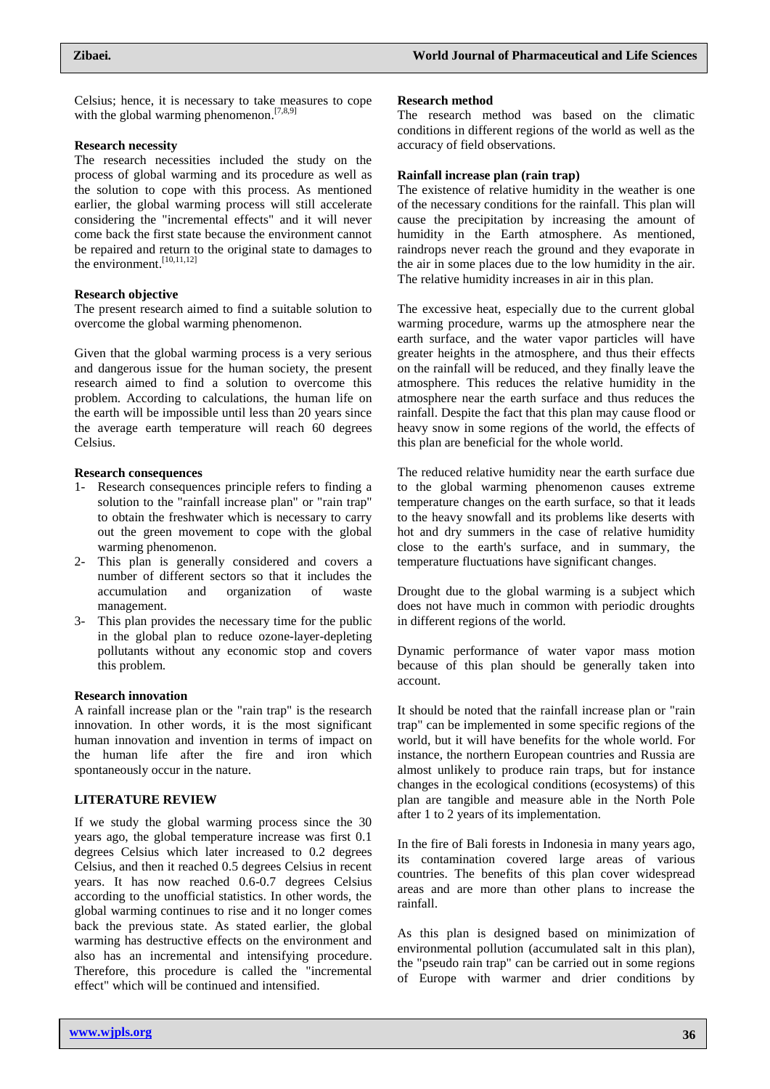Celsius; hence, it is necessary to take measures to cope with the global warming phenomenon.<sup>[7,8,9]</sup>

#### **Research necessity**

The research necessities included the study on the process of global warming and its procedure as well as the solution to cope with this process. As mentioned earlier, the global warming process will still accelerate considering the "incremental effects" and it will never come back the first state because the environment cannot be repaired and return to the original state to damages to the environment. [10,11,12]

#### **Research objective**

The present research aimed to find a suitable solution to overcome the global warming phenomenon.

Given that the global warming process is a very serious and dangerous issue for the human society, the present research aimed to find a solution to overcome this problem. According to calculations, the human life on the earth will be impossible until less than 20 years since the average earth temperature will reach 60 degrees Celsius.

#### **Research consequences**

- 1- Research consequences principle refers to finding a solution to the "rainfall increase plan" or "rain trap" to obtain the freshwater which is necessary to carry out the green movement to cope with the global warming phenomenon.
- 2- This plan is generally considered and covers a number of different sectors so that it includes the accumulation and organization of waste management.
- 3- This plan provides the necessary time for the public in the global plan to reduce ozone-layer-depleting pollutants without any economic stop and covers this problem.

#### **Research innovation**

A rainfall increase plan or the "rain trap" is the research innovation. In other words, it is the most significant human innovation and invention in terms of impact on the human life after the fire and iron which spontaneously occur in the nature.

#### **LITERATURE REVIEW**

If we study the global warming process since the 30 years ago, the global temperature increase was first 0.1 degrees Celsius which later increased to 0.2 degrees Celsius, and then it reached 0.5 degrees Celsius in recent years. It has now reached 0.6-0.7 degrees Celsius according to the unofficial statistics. In other words, the global warming continues to rise and it no longer comes back the previous state. As stated earlier, the global warming has destructive effects on the environment and also has an incremental and intensifying procedure. Therefore, this procedure is called the "incremental effect" which will be continued and intensified.

#### **Research method**

The research method was based on the climatic conditions in different regions of the world as well as the accuracy of field observations.

#### **Rainfall increase plan (rain trap)**

The existence of relative humidity in the weather is one of the necessary conditions for the rainfall. This plan will cause the precipitation by increasing the amount of humidity in the Earth atmosphere. As mentioned, raindrops never reach the ground and they evaporate in the air in some places due to the low humidity in the air. The relative humidity increases in air in this plan.

The excessive heat, especially due to the current global warming procedure, warms up the atmosphere near the earth surface, and the water vapor particles will have greater heights in the atmosphere, and thus their effects on the rainfall will be reduced, and they finally leave the atmosphere. This reduces the relative humidity in the atmosphere near the earth surface and thus reduces the rainfall. Despite the fact that this plan may cause flood or heavy snow in some regions of the world, the effects of this plan are beneficial for the whole world.

The reduced relative humidity near the earth surface due to the global warming phenomenon causes extreme temperature changes on the earth surface, so that it leads to the heavy snowfall and its problems like deserts with hot and dry summers in the case of relative humidity close to the earth's surface, and in summary, the temperature fluctuations have significant changes.

Drought due to the global warming is a subject which does not have much in common with periodic droughts in different regions of the world.

Dynamic performance of water vapor mass motion because of this plan should be generally taken into account.

It should be noted that the rainfall increase plan or "rain trap" can be implemented in some specific regions of the world, but it will have benefits for the whole world. For instance, the northern European countries and Russia are almost unlikely to produce rain traps, but for instance changes in the ecological conditions (ecosystems) of this plan are tangible and measure able in the North Pole after 1 to 2 years of its implementation.

In the fire of Bali forests in Indonesia in many years ago, its contamination covered large areas of various countries. The benefits of this plan cover widespread areas and are more than other plans to increase the rainfall.

As this plan is designed based on minimization of environmental pollution (accumulated salt in this plan), the "pseudo rain trap" can be carried out in some regions of Europe with warmer and drier conditions by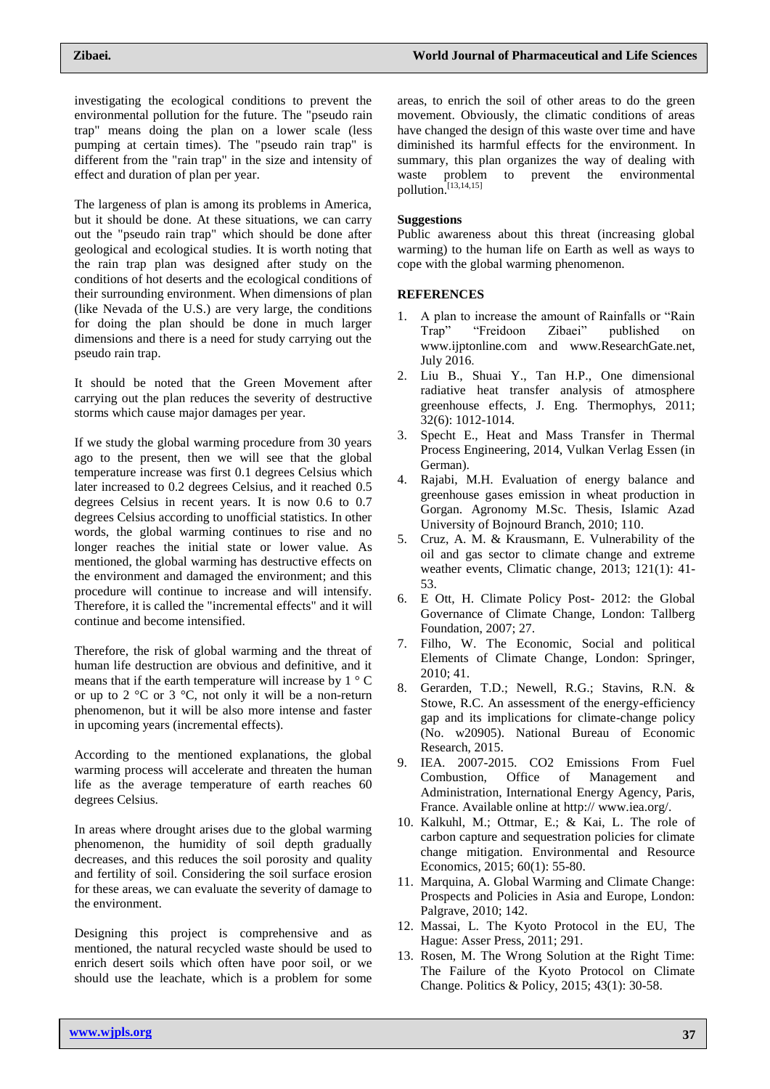investigating the ecological conditions to prevent the environmental pollution for the future. The "pseudo rain trap" means doing the plan on a lower scale (less pumping at certain times). The "pseudo rain trap" is different from the "rain trap" in the size and intensity of effect and duration of plan per year.

The largeness of plan is among its problems in America, but it should be done. At these situations, we can carry out the "pseudo rain trap" which should be done after geological and ecological studies. It is worth noting that the rain trap plan was designed after study on the conditions of hot deserts and the ecological conditions of their surrounding environment. When dimensions of plan (like Nevada of the U.S.) are very large, the conditions for doing the plan should be done in much larger dimensions and there is a need for study carrying out the pseudo rain trap.

It should be noted that the Green Movement after carrying out the plan reduces the severity of destructive storms which cause major damages per year.

If we study the global warming procedure from 30 years ago to the present, then we will see that the global temperature increase was first 0.1 degrees Celsius which later increased to 0.2 degrees Celsius, and it reached 0.5 degrees Celsius in recent years. It is now 0.6 to 0.7 degrees Celsius according to unofficial statistics. In other words, the global warming continues to rise and no longer reaches the initial state or lower value. As mentioned, the global warming has destructive effects on the environment and damaged the environment; and this procedure will continue to increase and will intensify. Therefore, it is called the "incremental effects" and it will continue and become intensified.

Therefore, the risk of global warming and the threat of human life destruction are obvious and definitive, and it means that if the earth temperature will increase by 1 ° C or up to 2  $\degree$ C or 3  $\degree$ C, not only it will be a non-return phenomenon, but it will be also more intense and faster in upcoming years (incremental effects).

According to the mentioned explanations, the global warming process will accelerate and threaten the human life as the average temperature of earth reaches 60 degrees Celsius.

In areas where drought arises due to the global warming phenomenon, the humidity of soil depth gradually decreases, and this reduces the soil porosity and quality and fertility of soil. Considering the soil surface erosion for these areas, we can evaluate the severity of damage to the environment.

Designing this project is comprehensive and as mentioned, the natural recycled waste should be used to enrich desert soils which often have poor soil, or we should use the leachate, which is a problem for some areas, to enrich the soil of other areas to do the green movement. Obviously, the climatic conditions of areas have changed the design of this waste over time and have diminished its harmful effects for the environment. In summary, this plan organizes the way of dealing with<br>waste problem to prevent the environmental waste problem to prevent the environmental pollution. [13,14,15]

### **Suggestions**

Public awareness about this threat (increasing global warming) to the human life on Earth as well as ways to cope with the global warming phenomenon.

## **REFERENCES**

- 1. A plan to increase the amount of Rainfalls or "Rain Trap" "Freidoon Zibaei" published on [www.ijptonline.com](http://www.ijptonline.com/) and [www.ResearchGate.net,](http://www.researchgate.net/) July 2016.
- 2. Liu B., Shuai Y., Tan H.P., One dimensional radiative heat transfer analysis of atmosphere greenhouse effects, J. Eng. Thermophys, 2011; 32(6): 1012-1014.
- 3. Specht E., Heat and Mass Transfer in Thermal Process Engineering, 2014, Vulkan Verlag Essen (in German).
- 4. Rajabi, M.H. Evaluation of energy balance and greenhouse gases emission in wheat production in Gorgan. Agronomy M.Sc. Thesis, Islamic Azad University of Bojnourd Branch, 2010; 110.
- 5. Cruz, A. M. & Krausmann, E. Vulnerability of the oil and gas sector to climate change and extreme weather events, Climatic change, 2013; 121(1): 41- 53.
- 6. E Ott, H. Climate Policy Post- 2012: the Global Governance of Climate Change, London: Tallberg Foundation, 2007; 27.
- 7. Filho, W. The Economic, Social and political Elements of Climate Change, London: Springer, 2010; 41.
- 8. Gerarden, T.D.; Newell, R.G.; Stavins, R.N. & Stowe, R.C. An assessment of the energy-efficiency gap and its implications for climate-change policy (No. w20905). National Bureau of Economic Research, 2015.
- 9. IEA. 2007-2015. CO2 Emissions From Fuel Combustion, Office of Management and Administration, International Energy Agency, Paris, France. Available online at http:// [www.iea.org/.](http://www.iea.org/)
- 10. Kalkuhl, M.; Ottmar, E.; & Kai, L. The role of carbon capture and sequestration policies for climate change mitigation. Environmental and Resource Economics, 2015; 60(1): 55-80.
- 11. Marquina, A. Global Warming and Climate Change: Prospects and Policies in Asia and Europe, London: Palgrave, 2010; 142.
- 12. Massai, L. The Kyoto Protocol in the EU, The Hague: Asser Press, 2011; 291.
- 13. Rosen, M. The Wrong Solution at the Right Time: The Failure of the Kyoto Protocol on Climate Change. Politics & Policy, 2015; 43(1): 30-58.